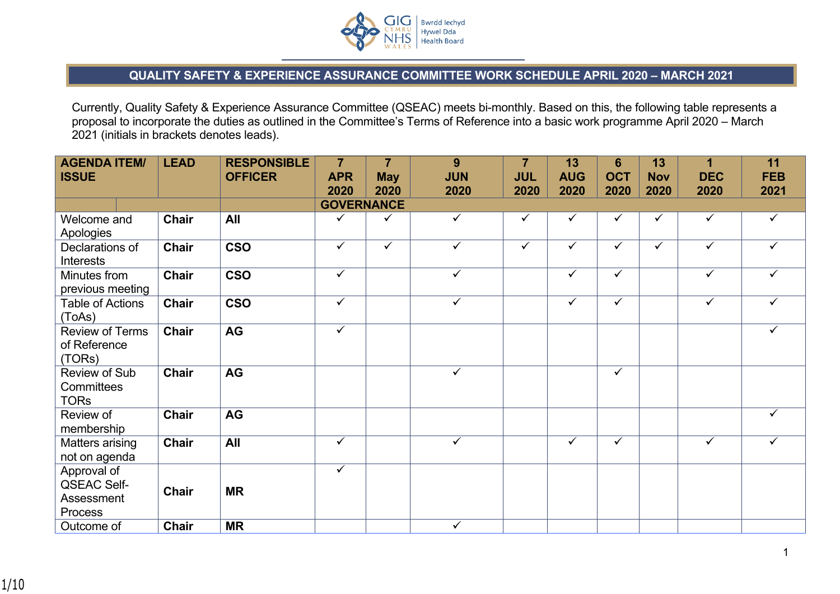

## **QUALITY SAFETY & EXPERIENCE ASSURANCE COMMITTEE WORK SCHEDULE APRIL 2020 – MARCH 2021**

Currently, Quality Safety & Experience Assurance Committee (QSEAC) meets bi-monthly. Based on this, the following table represents a proposal to incorporate the duties as outlined in the Committee's Terms of Reference into a basic work programme April 2020 – March 2021 (initials in brackets denotes leads).

| <b>AGENDA ITEM/</b><br><b>ISSUE</b>                        | <b>LEAD</b>  | <b>RESPONSIBLE</b><br><b>OFFICER</b> | $\overline{7}$<br><b>APR</b><br>2020 | $\overline{7}$<br><b>May</b><br>2020 | 9<br><b>JUN</b><br>2020 | $\overline{7}$<br><b>JUL</b><br>2020 | 13<br><b>AUG</b><br>2020 | 6<br><b>OCT</b><br>2020 | 13<br><b>Nov</b><br>2020 | 1<br><b>DEC</b><br>2020 | 11<br><b>FEB</b><br>2021 |
|------------------------------------------------------------|--------------|--------------------------------------|--------------------------------------|--------------------------------------|-------------------------|--------------------------------------|--------------------------|-------------------------|--------------------------|-------------------------|--------------------------|
|                                                            |              |                                      | <b>GOVERNANCE</b>                    |                                      |                         |                                      |                          |                         |                          |                         |                          |
| Welcome and<br>Apologies                                   | <b>Chair</b> | All                                  | $\checkmark$                         | $\checkmark$                         | $\checkmark$            | ✓                                    | ✓                        | ✓                       | $\checkmark$             | $\checkmark$            | $\checkmark$             |
| Declarations of<br><b>Interests</b>                        | <b>Chair</b> | <b>CSO</b>                           | $\overline{\checkmark}$              | $\overline{\checkmark}$              | $\overline{\checkmark}$ | $\checkmark$                         | $\checkmark$             | $\overline{\checkmark}$ | $\checkmark$             | $\overline{\checkmark}$ | $\checkmark$             |
| Minutes from<br>previous meeting                           | Chair        | <b>CSO</b>                           | $\checkmark$                         |                                      | $\checkmark$            |                                      | ✓                        | $\checkmark$            |                          | $\checkmark$            | $\checkmark$             |
| <b>Table of Actions</b><br>(ToAs)                          | Chair        | <b>CSO</b>                           | $\checkmark$                         |                                      | $\checkmark$            |                                      | $\checkmark$             | $\checkmark$            |                          | $\checkmark$            | $\checkmark$             |
| <b>Review of Terms</b><br>of Reference<br>(TORs)           | <b>Chair</b> | AG                                   | $\checkmark$                         |                                      |                         |                                      |                          |                         |                          |                         | $\checkmark$             |
| Review of Sub<br>Committees<br><b>TORs</b>                 | Chair        | AG                                   |                                      |                                      | $\checkmark$            |                                      |                          | $\checkmark$            |                          |                         |                          |
| Review of<br>membership                                    | Chair        | AG                                   |                                      |                                      |                         |                                      |                          |                         |                          |                         | $\checkmark$             |
| Matters arising<br>not on agenda                           | Chair        | All                                  | $\checkmark$                         |                                      | $\overline{\checkmark}$ |                                      | $\checkmark$             | $\checkmark$            |                          | $\overline{\checkmark}$ | $\checkmark$             |
| Approval of<br><b>QSEAC Self-</b><br>Assessment<br>Process | Chair        | <b>MR</b>                            | $\checkmark$                         |                                      |                         |                                      |                          |                         |                          |                         |                          |
| Outcome of                                                 | Chair        | <b>MR</b>                            |                                      |                                      | $\checkmark$            |                                      |                          |                         |                          |                         |                          |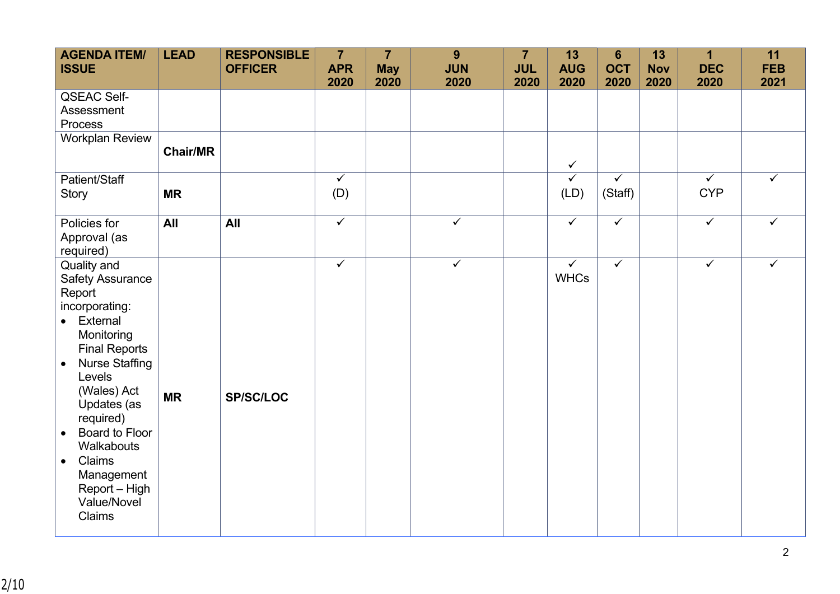| <b>AGENDA ITEM/</b><br><b>ISSUE</b>                                                                                                                                                                                                                                                                                                           | <b>LEAD</b>     | <b>RESPONSIBLE</b><br><b>OFFICER</b> | $\overline{7}$<br><b>APR</b><br>2020 | $\overline{7}$<br><b>May</b><br>2020 | 9<br><b>JUN</b><br>2020 | $\overline{7}$<br><b>JUL</b><br>2020 | 13<br><b>AUG</b><br>2020    | $6\phantom{a}$<br><b>OCT</b><br>2020 | 13<br><b>Nov</b><br>2020 | $\overline{1}$<br><b>DEC</b><br>2020  | 11<br><b>FEB</b><br>2021 |
|-----------------------------------------------------------------------------------------------------------------------------------------------------------------------------------------------------------------------------------------------------------------------------------------------------------------------------------------------|-----------------|--------------------------------------|--------------------------------------|--------------------------------------|-------------------------|--------------------------------------|-----------------------------|--------------------------------------|--------------------------|---------------------------------------|--------------------------|
| <b>QSEAC Self-</b><br>Assessment<br>Process                                                                                                                                                                                                                                                                                                   |                 |                                      |                                      |                                      |                         |                                      |                             |                                      |                          |                                       |                          |
| <b>Workplan Review</b>                                                                                                                                                                                                                                                                                                                        | <b>Chair/MR</b> |                                      |                                      |                                      |                         |                                      | $\checkmark$                |                                      |                          |                                       |                          |
| Patient/Staff<br><b>Story</b>                                                                                                                                                                                                                                                                                                                 | <b>MR</b>       |                                      | $\overline{\checkmark}$<br>(D)       |                                      |                         |                                      | $\checkmark$<br>(LD)        | $\overline{\checkmark}$<br>(Staff)   |                          | $\overline{\checkmark}$<br><b>CYP</b> | $\checkmark$             |
| Policies for<br>Approval (as<br>required)                                                                                                                                                                                                                                                                                                     | All             | All                                  | $\overline{\checkmark}$              |                                      | $\overline{\checkmark}$ |                                      | $\overline{\checkmark}$     | $\overline{\checkmark}$              |                          | $\overline{\checkmark}$               | $\checkmark$             |
| Quality and<br><b>Safety Assurance</b><br>Report<br>incorporating:<br>• External<br>Monitoring<br><b>Final Reports</b><br><b>Nurse Staffing</b><br>$\bullet$<br>Levels<br>(Wales) Act<br>Updates (as<br>required)<br>Board to Floor<br>$\bullet$<br>Walkabouts<br>Claims<br>$\bullet$<br>Management<br>Report - High<br>Value/Novel<br>Claims | <b>MR</b>       | <b>SP/SC/LOC</b>                     | $\checkmark$                         |                                      | $\checkmark$            |                                      | $\checkmark$<br><b>WHCs</b> | $\overline{\checkmark}$              |                          | $\overline{\checkmark}$               | $\checkmark$             |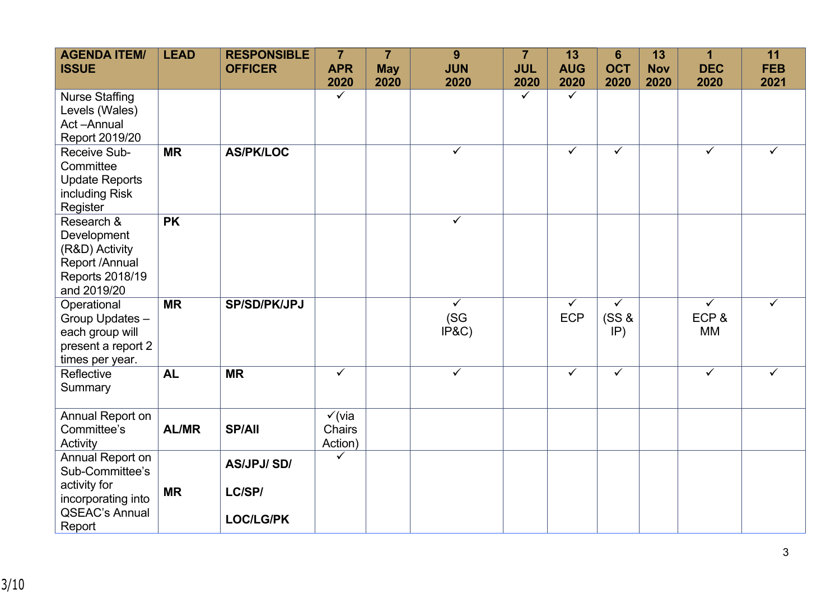| <b>AGENDA ITEM/</b><br><b>ISSUE</b>                                                                          | <b>LEAD</b>  | <b>RESPONSIBLE</b><br><b>OFFICER</b>            | $\overline{7}$<br><b>APR</b><br>2020   | $\overline{7}$<br><b>May</b><br>2020 | 9<br><b>JUN</b><br>2020       | $\overline{7}$<br><b>JUL</b><br>2020 | 13<br><b>AUG</b><br>2020   | $6\phantom{1}$<br><b>OCT</b><br>2020    | 13<br><b>Nov</b><br>2020 | $\overline{1}$<br><b>DEC</b><br>2020         | 11<br><b>FEB</b><br>2021 |
|--------------------------------------------------------------------------------------------------------------|--------------|-------------------------------------------------|----------------------------------------|--------------------------------------|-------------------------------|--------------------------------------|----------------------------|-----------------------------------------|--------------------------|----------------------------------------------|--------------------------|
| <b>Nurse Staffing</b><br>Levels (Wales)<br>Act-Annual<br>Report 2019/20                                      |              |                                                 | $\checkmark$                           |                                      |                               | $\checkmark$                         | $\checkmark$               |                                         |                          |                                              |                          |
| Receive Sub-<br>Committee<br><b>Update Reports</b><br>including Risk<br>Register                             | <b>MR</b>    | <b>AS/PK/LOC</b>                                |                                        |                                      | $\overline{\checkmark}$       |                                      | $\overline{\checkmark}$    | $\checkmark$                            |                          | $\checkmark$                                 | ✓                        |
| Research &<br>Development<br>(R&D) Activity<br>Report /Annual<br>Reports 2018/19<br>and 2019/20              | <b>PK</b>    |                                                 |                                        |                                      | $\overline{\checkmark}$       |                                      |                            |                                         |                          |                                              |                          |
| Operational<br>Group Updates -<br>each group will<br>present a report 2<br>times per year.                   | <b>MR</b>    | <b>SP/SD/PK/JPJ</b>                             |                                        |                                      | $\checkmark$<br>(SG)<br>IP&C) |                                      | $\checkmark$<br><b>ECP</b> | $\overline{\checkmark}$<br>(SS &<br>IP) |                          | $\overline{\checkmark}$<br>ECP&<br><b>MM</b> | ✓                        |
| Reflective<br>Summary                                                                                        | <b>AL</b>    | <b>MR</b>                                       | $\checkmark$                           |                                      | $\checkmark$                  |                                      | $\checkmark$               | $\checkmark$                            |                          | $\overline{\checkmark}$                      | $\checkmark$             |
| Annual Report on<br>Committee's<br>Activity                                                                  | <b>AL/MR</b> | <b>SP/All</b>                                   | $\checkmark$ (via<br>Chairs<br>Action) |                                      |                               |                                      |                            |                                         |                          |                                              |                          |
| Annual Report on<br>Sub-Committee's<br>activity for<br>incorporating into<br><b>QSEAC's Annual</b><br>Report | <b>MR</b>    | <b>AS/JPJ/SD/</b><br>LC/SP/<br><b>LOC/LG/PK</b> | $\checkmark$                           |                                      |                               |                                      |                            |                                         |                          |                                              |                          |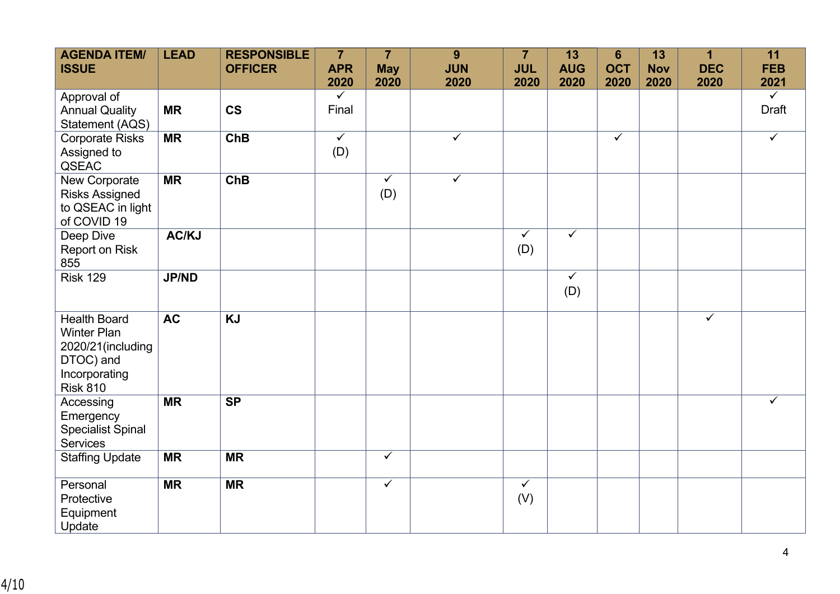| <b>AGENDA ITEM/</b><br><b>ISSUE</b>                                                                             | <b>LEAD</b>     | <b>RESPONSIBLE</b><br><b>OFFICER</b> | $\overline{7}$<br><b>APR</b>   | $\overline{7}$<br><b>May</b> | 9<br><b>JUN</b>         | $\overline{7}$<br><b>JUL</b> | 13<br><b>AUG</b>    | $6\phantom{1}$<br><b>OCT</b> | 13<br><b>Nov</b> | $\overline{\mathbf{1}}$<br><b>DEC</b> | 11<br><b>FEB</b>      |
|-----------------------------------------------------------------------------------------------------------------|-----------------|--------------------------------------|--------------------------------|------------------------------|-------------------------|------------------------------|---------------------|------------------------------|------------------|---------------------------------------|-----------------------|
|                                                                                                                 |                 |                                      | 2020                           | 2020                         | 2020                    | 2020                         | 2020                | 2020                         | 2020             | 2020                                  | 2021                  |
| Approval of<br><b>Annual Quality</b><br>Statement (AQS)                                                         | <b>MR</b>       | <b>CS</b>                            | $\checkmark$<br>Final          |                              |                         |                              |                     |                              |                  |                                       | $\checkmark$<br>Draft |
| <b>Corporate Risks</b><br>Assigned to<br>QSEAC                                                                  | <b>MR</b>       | <b>ChB</b>                           | $\overline{\checkmark}$<br>(D) |                              | $\overline{\checkmark}$ |                              |                     | $\checkmark$                 |                  |                                       | $\checkmark$          |
| New Corporate<br><b>Risks Assigned</b><br>to QSEAC in light<br>of COVID 19                                      | <b>MR</b>       | <b>ChB</b>                           |                                | $\checkmark$<br>(D)          | $\checkmark$            |                              |                     |                              |                  |                                       |                       |
| Deep Dive<br>Report on Risk<br>855                                                                              | AC/KJ           |                                      |                                |                              |                         | $\checkmark$<br>(D)          | $\checkmark$        |                              |                  |                                       |                       |
| <b>Risk 129</b>                                                                                                 | <b>JP/ND</b>    |                                      |                                |                              |                         |                              | $\checkmark$<br>(D) |                              |                  |                                       |                       |
| <b>Health Board</b><br><b>Winter Plan</b><br>2020/21(including<br>DTOC) and<br>Incorporating<br><b>Risk 810</b> | $\overline{AC}$ | $\overline{KJ}$                      |                                |                              |                         |                              |                     |                              |                  | $\overline{\checkmark}$               |                       |
| Accessing<br>Emergency<br><b>Specialist Spinal</b><br><b>Services</b>                                           | <b>MR</b>       | <b>SP</b>                            |                                |                              |                         |                              |                     |                              |                  |                                       | $\checkmark$          |
| <b>Staffing Update</b>                                                                                          | <b>MR</b>       | <b>MR</b>                            |                                | $\overline{\checkmark}$      |                         |                              |                     |                              |                  |                                       |                       |
| Personal<br>Protective<br>Equipment<br>Update                                                                   | <b>MR</b>       | <b>MR</b>                            |                                | $\overline{\checkmark}$      |                         | $\checkmark$<br>(V)          |                     |                              |                  |                                       |                       |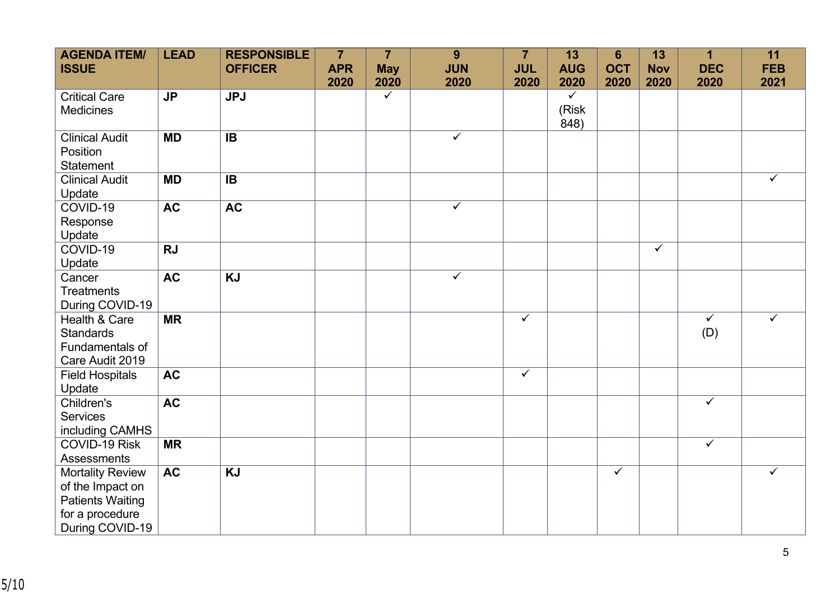| <b>AGENDA ITEM/</b><br><b>ISSUE</b>                                                                          | <b>LEAD</b> | <b>RESPONSIBLE</b><br><b>OFFICER</b> | $\overline{7}$<br><b>APR</b> | $\overline{7}$<br><b>May</b> | 9<br><b>JUN</b>         | $\overline{7}$<br><b>JUL</b> | 13<br><b>AUG</b>              | $6\phantom{1}$<br><b>OCT</b> | 13<br><b>Nov</b>        | $\mathbf{1}$<br><b>DEC</b>     | 11<br><b>FEB</b> |
|--------------------------------------------------------------------------------------------------------------|-------------|--------------------------------------|------------------------------|------------------------------|-------------------------|------------------------------|-------------------------------|------------------------------|-------------------------|--------------------------------|------------------|
|                                                                                                              |             |                                      | 2020                         | 2020                         | 2020                    | 2020                         | 2020                          | 2020                         | 2020                    | 2020                           | 2021             |
| <b>Critical Care</b><br>Medicines                                                                            | <b>JP</b>   | <b>JPJ</b>                           |                              | $\checkmark$                 |                         |                              | $\checkmark$<br>(Risk<br>848) |                              |                         |                                |                  |
| <b>Clinical Audit</b><br>Position<br><b>Statement</b>                                                        | <b>MD</b>   | IB                                   |                              |                              | $\checkmark$            |                              |                               |                              |                         |                                |                  |
| <b>Clinical Audit</b><br>Update                                                                              | <b>MD</b>   | IB                                   |                              |                              |                         |                              |                               |                              |                         |                                | $\checkmark$     |
| COVID-19<br>Response<br>Update                                                                               | <b>AC</b>   | <b>AC</b>                            |                              |                              | $\overline{\checkmark}$ |                              |                               |                              |                         |                                |                  |
| COVID-19<br>Update                                                                                           | <b>RJ</b>   |                                      |                              |                              |                         |                              |                               |                              | $\overline{\checkmark}$ |                                |                  |
| Cancer<br><b>Treatments</b><br>During COVID-19                                                               | <b>AC</b>   | <b>KJ</b>                            |                              |                              | $\overline{\checkmark}$ |                              |                               |                              |                         |                                |                  |
| Health & Care<br><b>Standards</b><br>Fundamentals of<br>Care Audit 2019                                      | <b>MR</b>   |                                      |                              |                              |                         | $\checkmark$                 |                               |                              |                         | $\overline{\checkmark}$<br>(D) | ✓                |
| <b>Field Hospitals</b><br>Update                                                                             | <b>AC</b>   |                                      |                              |                              |                         | $\checkmark$                 |                               |                              |                         |                                |                  |
| Children's<br><b>Services</b><br>including CAMHS                                                             | <b>AC</b>   |                                      |                              |                              |                         |                              |                               |                              |                         | $\checkmark$                   |                  |
| COVID-19 Risk<br><b>Assessments</b>                                                                          | <b>MR</b>   |                                      |                              |                              |                         |                              |                               |                              |                         | $\overline{\checkmark}$        |                  |
| <b>Mortality Review</b><br>of the Impact on<br><b>Patients Waiting</b><br>for a procedure<br>During COVID-19 | <b>AC</b>   | <b>KJ</b>                            |                              |                              |                         |                              |                               | $\checkmark$                 |                         |                                | $\checkmark$     |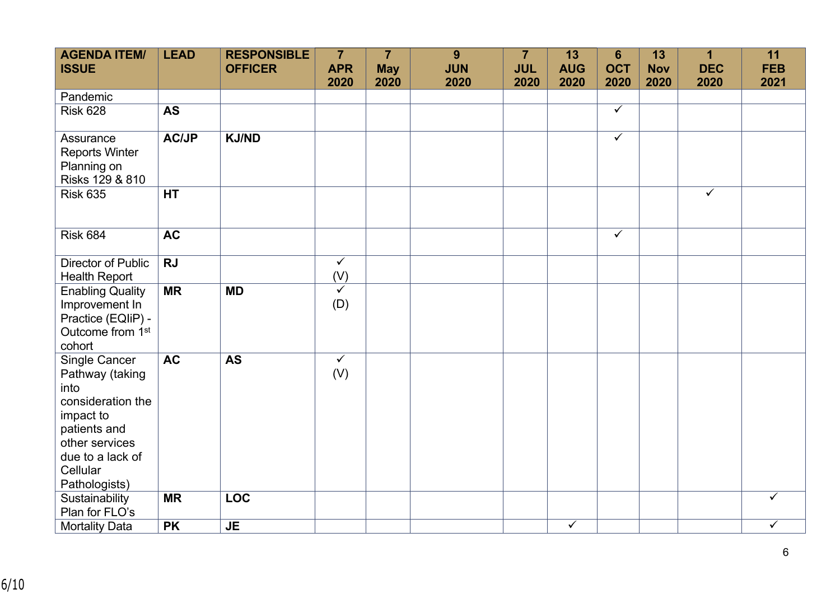| <b>AGENDA ITEM/</b><br><b>ISSUE</b>                                                                                                                           | <b>LEAD</b>            | <b>RESPONSIBLE</b><br><b>OFFICER</b> | $\overline{7}$<br><b>APR</b>   | $\overline{7}$<br><b>May</b> | 9<br><b>JUN</b> | $\overline{7}$<br><b>JUL</b> | 13<br><b>AUG</b> | 6<br><b>OCT</b>         | 13<br><b>Nov</b> | $\mathbf 1$<br><b>DEC</b> | 11<br><b>FEB</b> |
|---------------------------------------------------------------------------------------------------------------------------------------------------------------|------------------------|--------------------------------------|--------------------------------|------------------------------|-----------------|------------------------------|------------------|-------------------------|------------------|---------------------------|------------------|
|                                                                                                                                                               |                        |                                      | 2020                           | 2020                         | 2020            | 2020                         | 2020             | 2020                    | 2020             | 2020                      | 2021             |
| Pandemic                                                                                                                                                      |                        |                                      |                                |                              |                 |                              |                  |                         |                  |                           |                  |
| <b>Risk 628</b>                                                                                                                                               | <b>AS</b>              |                                      |                                |                              |                 |                              |                  | $\overline{\checkmark}$ |                  |                           |                  |
| Assurance<br><b>Reports Winter</b><br>Planning on<br>Risks 129 & 810                                                                                          | <b>AC/JP</b>           | <b>KJ/ND</b>                         |                                |                              |                 |                              |                  | $\overline{\checkmark}$ |                  |                           |                  |
| <b>Risk 635</b>                                                                                                                                               | <b>HT</b>              |                                      |                                |                              |                 |                              |                  |                         |                  | $\overline{\checkmark}$   |                  |
| <b>Risk 684</b>                                                                                                                                               | <b>AC</b>              |                                      |                                |                              |                 |                              |                  | $\overline{\checkmark}$ |                  |                           |                  |
| Director of Public<br><b>Health Report</b>                                                                                                                    | <b>RJ</b>              |                                      | $\checkmark$<br>(V)            |                              |                 |                              |                  |                         |                  |                           |                  |
| <b>Enabling Quality</b><br>Improvement In<br>Practice (EQIiP) -<br>Outcome from 1 <sup>st</sup><br>cohort                                                     | $\overline{\text{MR}}$ | <b>MD</b>                            | $\checkmark$<br>(D)            |                              |                 |                              |                  |                         |                  |                           |                  |
| Single Cancer<br>Pathway (taking<br>into<br>consideration the<br>impact to<br>patients and<br>other services<br>due to a lack of<br>Cellular<br>Pathologists) | <b>AC</b>              | <b>AS</b>                            | $\overline{\checkmark}$<br>(V) |                              |                 |                              |                  |                         |                  |                           |                  |
| Sustainability<br>Plan for FLO's                                                                                                                              | <b>MR</b>              | <b>LOC</b>                           |                                |                              |                 |                              |                  |                         |                  |                           | $\checkmark$     |
| <b>Mortality Data</b>                                                                                                                                         | <b>PK</b>              | <b>JE</b>                            |                                |                              |                 |                              | $\checkmark$     |                         |                  |                           | $\checkmark$     |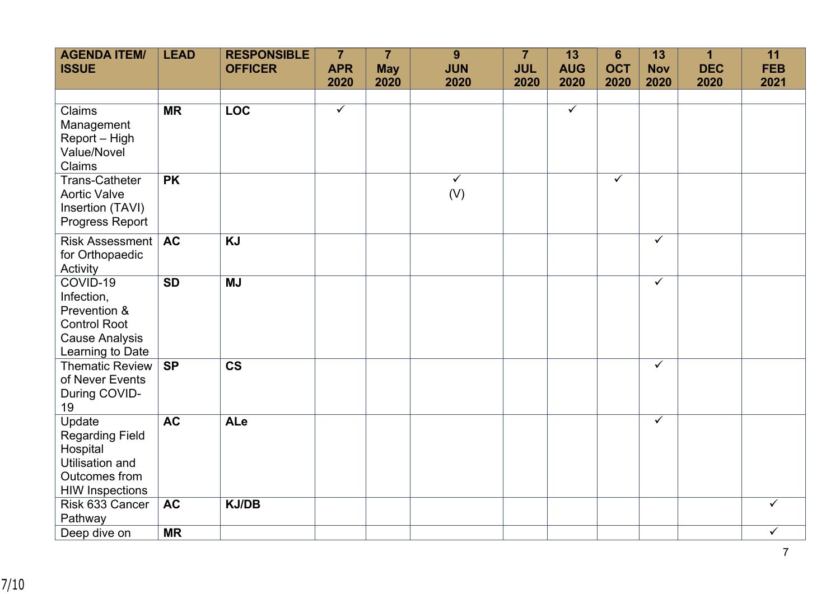| <b>AGENDA ITEM/</b><br><b>ISSUE</b>                                                                               | <b>LEAD</b> | <b>RESPONSIBLE</b><br><b>OFFICER</b> | $\overline{7}$<br><b>APR</b> | $\overline{7}$<br><b>May</b> | 9<br><b>JUN</b>     | $\overline{7}$<br><b>JUL</b> | 13<br><b>AUG</b>        | $6\phantom{1}$<br><b>OCT</b> | 13<br><b>Nov</b> | $\mathbf{1}$<br><b>DEC</b> | 11<br><b>FEB</b>        |
|-------------------------------------------------------------------------------------------------------------------|-------------|--------------------------------------|------------------------------|------------------------------|---------------------|------------------------------|-------------------------|------------------------------|------------------|----------------------------|-------------------------|
|                                                                                                                   |             |                                      | 2020                         | 2020                         | 2020                | 2020                         | 2020                    | 2020                         | 2020             | 2020                       | 2021                    |
|                                                                                                                   |             |                                      |                              |                              |                     |                              |                         |                              |                  |                            |                         |
| Claims<br>Management<br>Report - High<br>Value/Novel<br>Claims                                                    | <b>MR</b>   | <b>LOC</b>                           | $\overline{\checkmark}$      |                              |                     |                              | $\overline{\checkmark}$ |                              |                  |                            |                         |
| <b>Trans-Catheter</b><br><b>Aortic Valve</b><br>Insertion (TAVI)<br><b>Progress Report</b>                        | <b>PK</b>   |                                      |                              |                              | $\checkmark$<br>(V) |                              |                         | $\checkmark$                 |                  |                            |                         |
| Risk Assessment<br>for Orthopaedic<br>Activity                                                                    | <b>AC</b>   | <b>KJ</b>                            |                              |                              |                     |                              |                         |                              | $\checkmark$     |                            |                         |
| COVID-19<br>Infection,<br>Prevention &<br><b>Control Root</b><br><b>Cause Analysis</b><br>Learning to Date        | <b>SD</b>   | <b>MJ</b>                            |                              |                              |                     |                              |                         |                              | $\checkmark$     |                            |                         |
| <b>Thematic Review</b><br>of Never Events<br>During COVID-<br>19                                                  | <b>SP</b>   | $\overline{\text{cs}}$               |                              |                              |                     |                              |                         |                              | $\checkmark$     |                            |                         |
| Update<br><b>Regarding Field</b><br>Hospital<br><b>Utilisation and</b><br>Outcomes from<br><b>HIW Inspections</b> | <b>AC</b>   | ALe                                  |                              |                              |                     |                              |                         |                              | $\checkmark$     |                            |                         |
| Risk 633 Cancer<br>Pathway                                                                                        | <b>AC</b>   | <b>KJ/DB</b>                         |                              |                              |                     |                              |                         |                              |                  |                            | $\checkmark$            |
| Deep dive on                                                                                                      | <b>MR</b>   |                                      |                              |                              |                     |                              |                         |                              |                  |                            | $\overline{\checkmark}$ |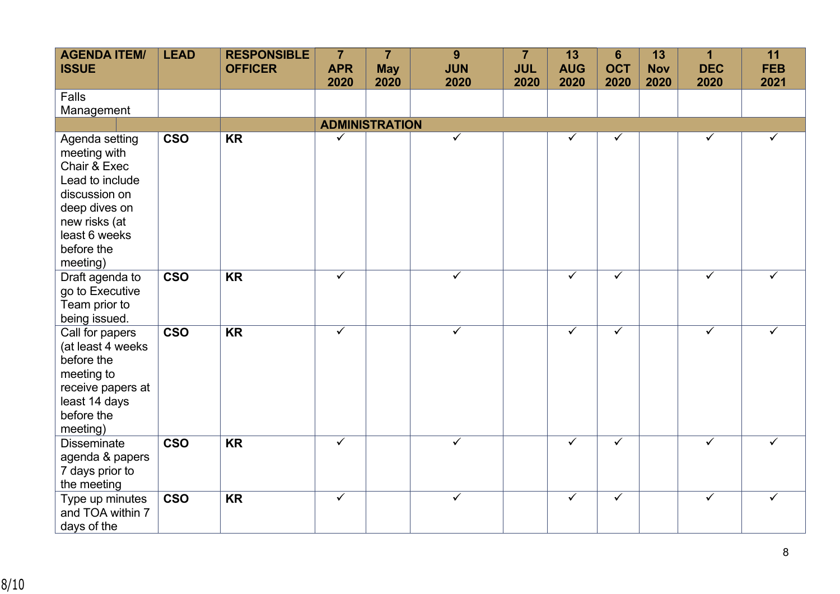| <b>AGENDA ITEM/</b><br><b>ISSUE</b>                                                                                                                             | <b>LEAD</b>             | <b>RESPONSIBLE</b><br><b>OFFICER</b> | $\overline{7}$<br><b>APR</b><br>2020 | $\overline{7}$<br><b>May</b><br>2020 | 9<br><b>JUN</b><br>2020 | $\overline{7}$<br><b>JUL</b><br>2020 | 13<br><b>AUG</b><br>2020 | $6\phantom{1}$<br><b>OCT</b><br>2020 | 13<br><b>Nov</b><br>2020 | 1<br><b>DEC</b><br>2020 | 11<br><b>FEB</b><br>2021 |
|-----------------------------------------------------------------------------------------------------------------------------------------------------------------|-------------------------|--------------------------------------|--------------------------------------|--------------------------------------|-------------------------|--------------------------------------|--------------------------|--------------------------------------|--------------------------|-------------------------|--------------------------|
| Falls<br>Management                                                                                                                                             |                         |                                      |                                      |                                      |                         |                                      |                          |                                      |                          |                         |                          |
|                                                                                                                                                                 |                         |                                      | <b>ADMINISTRATION</b>                |                                      |                         |                                      |                          |                                      |                          |                         |                          |
| Agenda setting<br>meeting with<br>Chair & Exec<br>Lead to include<br>discussion on<br>deep dives on<br>new risks (at<br>least 6 weeks<br>before the<br>meeting) | <b>CSO</b>              | <b>KR</b>                            | $\checkmark$                         |                                      | $\checkmark$            |                                      | ✓                        | $\checkmark$                         |                          | ✓                       | $\checkmark$             |
| Draft agenda to<br>go to Executive<br>Team prior to<br>being issued.                                                                                            | $\overline{\text{cso}}$ | <b>KR</b>                            | $\checkmark$                         |                                      | ✓                       |                                      | ✓                        | $\checkmark$                         |                          | ✓                       | ✓                        |
| Call for papers<br>(at least 4 weeks<br>before the<br>meeting to<br>receive papers at<br>least 14 days<br>before the<br>meeting)                                | <b>CSO</b>              | $\overline{\text{KR}}$               | $\checkmark$                         |                                      | $\overline{\checkmark}$ |                                      | $\checkmark$             | $\overline{\checkmark}$              |                          | $\checkmark$            | $\checkmark$             |
| <b>Disseminate</b><br>agenda & papers<br>7 days prior to<br>the meeting                                                                                         | $\overline{\text{cso}}$ | $\overline{\text{KR}}$               | $\overline{\checkmark}$              |                                      | $\checkmark$            |                                      | $\checkmark$             | $\overline{\checkmark}$              |                          | $\overline{\checkmark}$ | ✓                        |
| Type up minutes<br>and TOA within 7<br>days of the                                                                                                              | <b>CSO</b>              | <b>KR</b>                            | $\checkmark$                         |                                      | $\checkmark$            |                                      | $\checkmark$             | $\checkmark$                         |                          | $\checkmark$            | $\checkmark$             |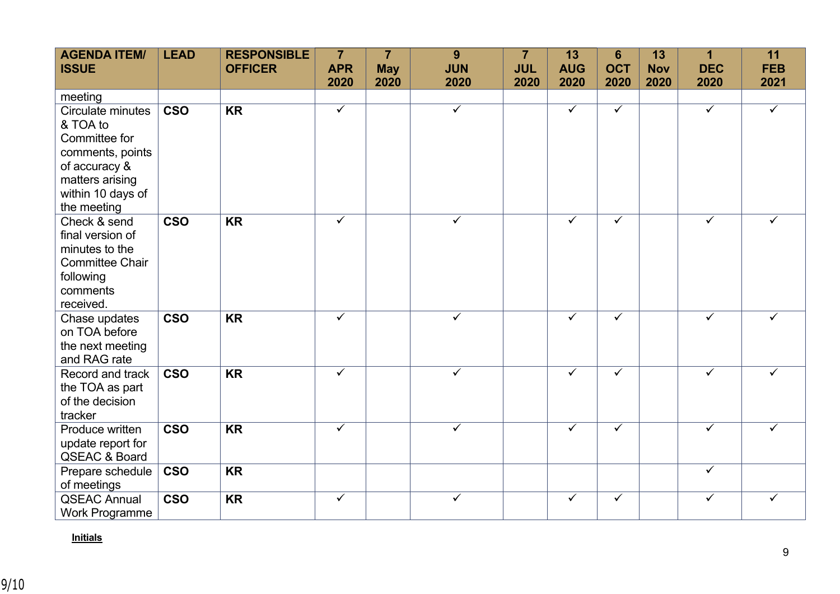| <b>AGENDA ITEM/</b><br><b>ISSUE</b>                                                                                                        | <b>LEAD</b> | <b>RESPONSIBLE</b><br><b>OFFICER</b> | $\overline{7}$<br><b>APR</b> | $\overline{7}$<br><b>May</b> | 9<br><b>JUN</b>         | $\overline{7}$<br><b>JUL</b> | 13<br><b>AUG</b>        | $6\phantom{1}$<br><b>OCT</b> | 13<br><b>Nov</b> | 1<br><b>DEC</b>         | 11<br><b>FEB</b> |
|--------------------------------------------------------------------------------------------------------------------------------------------|-------------|--------------------------------------|------------------------------|------------------------------|-------------------------|------------------------------|-------------------------|------------------------------|------------------|-------------------------|------------------|
|                                                                                                                                            |             |                                      | 2020                         | 2020                         | 2020                    | 2020                         | 2020                    | 2020                         | 2020             | 2020                    | 2021             |
| meeting                                                                                                                                    |             |                                      |                              |                              |                         |                              |                         |                              |                  |                         |                  |
| Circulate minutes<br>& TOA to<br>Committee for<br>comments, points<br>of accuracy &<br>matters arising<br>within 10 days of<br>the meeting | <b>CSO</b>  | <b>KR</b>                            | $\overline{\checkmark}$      |                              | $\overline{\checkmark}$ |                              | $\overline{\checkmark}$ | $\checkmark$                 |                  | $\overline{\checkmark}$ | $\checkmark$     |
| Check & send<br>final version of<br>minutes to the<br><b>Committee Chair</b><br>following<br>comments<br>received.                         | <b>CSO</b>  | <b>KR</b>                            | $\checkmark$                 |                              | ✓                       |                              | $\checkmark$            | $\checkmark$                 |                  | ✓                       | ✓                |
| Chase updates<br>on TOA before<br>the next meeting<br>and RAG rate                                                                         | <b>CSO</b>  | <b>KR</b>                            | $\overline{\checkmark}$      |                              | $\overline{\checkmark}$ |                              | $\overline{\checkmark}$ | $\overline{\checkmark}$      |                  | $\overline{\checkmark}$ | $\checkmark$     |
| Record and track<br>the TOA as part<br>of the decision<br>tracker                                                                          | <b>CSO</b>  | <b>KR</b>                            | $\checkmark$                 |                              | $\checkmark$            |                              | $\checkmark$            | $\checkmark$                 |                  | $\checkmark$            | ✓                |
| Produce written<br>update report for<br><b>QSEAC &amp; Board</b>                                                                           | <b>CSO</b>  | <b>KR</b>                            | $\checkmark$                 |                              | ✓                       |                              | $\checkmark$            | $\checkmark$                 |                  | $\checkmark$            | ✓                |
| Prepare schedule<br>of meetings                                                                                                            | <b>CSO</b>  | <b>KR</b>                            |                              |                              |                         |                              |                         |                              |                  | $\overline{\checkmark}$ |                  |
| <b>QSEAC Annual</b><br><b>Work Programme</b>                                                                                               | <b>CSO</b>  | <b>KR</b>                            | $\checkmark$                 |                              | ✓                       |                              | $\checkmark$            | $\checkmark$                 |                  | ✓                       | ✓                |

## **Initials**